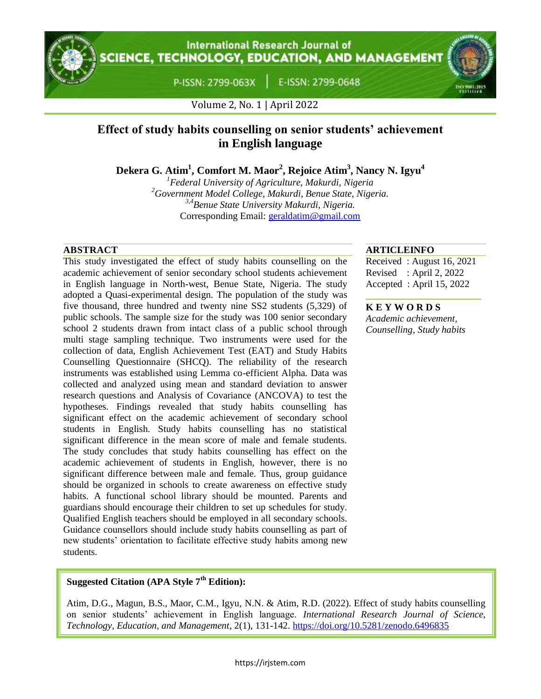## **International Research Journal of CIENCE, TECHNOLOGY, EDUCATION, AND MANAGEMENT**

P-ISSN: 2799-063X

E-ISSN: 2799-0648



Volume 2, No. 1 | April 2022

# **Effect of study habits counselling on senior students' achievement in English language**

**Dekera G. Atim<sup>1</sup> , Comfort M. Maor<sup>2</sup> , Rejoice Atim<sup>3</sup> , Nancy N. Igyu<sup>4</sup>**

*<sup>1</sup>Federal University of Agriculture, Makurdi, Nigeria <sup>2</sup>Government Model College, Makurdi, Benue State, Nigeria. 3,4Benue State University Makurdi, Nigeria.* Corresponding Email: [geraldatim@gmail.com](mailto:geraldatim@gmail.com)

This study investigated the effect of study habits counselling on the academic achievement of senior secondary school students achievement in English language in North-west, Benue State, Nigeria. The study adopted a Quasi-experimental design. The population of the study was five thousand, three hundred and twenty nine SS2 students (5,329) of public schools. The sample size for the study was 100 senior secondary school 2 students drawn from intact class of a public school through multi stage sampling technique. Two instruments were used for the collection of data, English Achievement Test (EAT) and Study Habits Counselling Questionnaire (SHCQ). The reliability of the research instruments was established using Lemma co-efficient Alpha. Data was collected and analyzed using mean and standard deviation to answer research questions and Analysis of Covariance (ANCOVA) to test the hypotheses. Findings revealed that study habits counselling has significant effect on the academic achievement of secondary school students in English. Study habits counselling has no statistical significant difference in the mean score of male and female students. The study concludes that study habits counselling has effect on the academic achievement of students in English, however, there is no significant difference between male and female. Thus, group guidance should be organized in schools to create awareness on effective study habits. A functional school library should be mounted. Parents and guardians should encourage their children to set up schedules for study. Qualified English teachers should be employed in all secondary schools. Guidance counsellors should include study habits counselling as part of new students' orientation to facilitate effective study habits among new students.

## **ABSTRACT ARTICLEINFO**

Received : August 16, 2021 Revised : April 2, 2022 Accepted : April 15, 2022

## **K E Y W O R D S**

*Academic achievement, Counselling, Study habits*

## **Suggested Citation (APA Style 7th Edition):**

Atim, D.G., Magun, B.S., Maor, C.M., Igyu, N.N. & Atim, R.D. (2022). Effect of study habits counselling on senior students' achievement in English language. *International Research Journal of Science, Technology, Education, and Management*, 2(1), 131-142. https://doi.org/10.5281/zenodo.6496835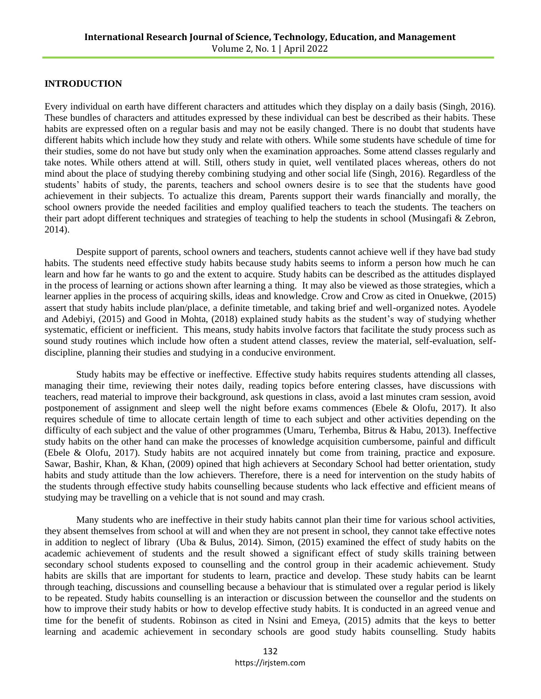#### **INTRODUCTION**

Every individual on earth have different characters and attitudes which they display on a daily basis (Singh, 2016). These bundles of characters and attitudes expressed by these individual can best be described as their habits. These habits are expressed often on a regular basis and may not be easily changed. There is no doubt that students have different habits which include how they study and relate with others. While some students have schedule of time for their studies, some do not have but study only when the examination approaches. Some attend classes regularly and take notes. While others attend at will. Still, others study in quiet, well ventilated places whereas, others do not mind about the place of studying thereby combining studying and other social life (Singh, 2016). Regardless of the students' habits of study, the parents, teachers and school owners desire is to see that the students have good achievement in their subjects. To actualize this dream, Parents support their wards financially and morally, the school owners provide the needed facilities and employ qualified teachers to teach the students. The teachers on their part adopt different techniques and strategies of teaching to help the students in school (Musingafi & Zebron, 2014).

Despite support of parents, school owners and teachers, students cannot achieve well if they have bad study habits. The students need effective study habits because study habits seems to inform a person how much he can learn and how far he wants to go and the extent to acquire. Study habits can be described as the attitudes displayed in the process of learning or actions shown after learning a thing. It may also be viewed as those strategies, which a learner applies in the process of acquiring skills, ideas and knowledge. Crow and Crow as cited in Onuekwe, (2015) assert that study habits include plan/place, a definite timetable, and taking brief and well-organized notes. Ayodele and Adebiyi, (2015) and Good in Mohta, (2018) explained study habits as the student's way of studying whether systematic, efficient or inefficient. This means, study habits involve factors that facilitate the study process such as sound study routines which include how often a student attend classes, review the material, self-evaluation, selfdiscipline, planning their studies and studying in a conducive environment.

Study habits may be effective or ineffective. Effective study habits requires students attending all classes, managing their time, reviewing their notes daily, reading topics before entering classes, have discussions with teachers, read material to improve their background, ask questions in class, avoid a last minutes cram session, avoid postponement of assignment and sleep well the night before exams commences (Ebele & Olofu, 2017). It also requires schedule of time to allocate certain length of time to each subject and other activities depending on the difficulty of each subject and the value of other programmes (Umaru, Terhemba, Bitrus & Habu, 2013). Ineffective study habits on the other hand can make the processes of knowledge acquisition cumbersome, painful and difficult (Ebele & Olofu, 2017). Study habits are not acquired innately but come from training, practice and exposure. Sawar, Bashir, Khan, & Khan, (2009) opined that high achievers at Secondary School had better orientation, study habits and study attitude than the low achievers. Therefore, there is a need for intervention on the study habits of the students through effective study habits counselling because students who lack effective and efficient means of studying may be travelling on a vehicle that is not sound and may crash.

Many students who are ineffective in their study habits cannot plan their time for various school activities, they absent themselves from school at will and when they are not present in school, they cannot take effective notes in addition to neglect of library (Uba & Bulus, 2014). Simon, (2015) examined the effect of study habits on the academic achievement of students and the result showed a significant effect of study skills training between secondary school students exposed to counselling and the control group in their academic achievement. Study habits are skills that are important for students to learn, practice and develop. These study habits can be learnt through teaching, discussions and counselling because a behaviour that is stimulated over a regular period is likely to be repeated. Study habits counselling is an interaction or discussion between the counsellor and the students on how to improve their study habits or how to develop effective study habits. It is conducted in an agreed venue and time for the benefit of students. Robinson as cited in Nsini and Emeya, (2015) admits that the keys to better learning and academic achievement in secondary schools are good study habits counselling. Study habits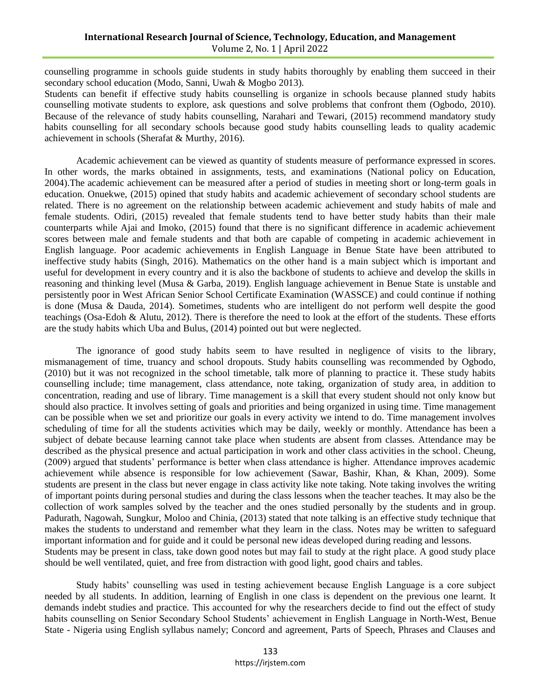counselling programme in schools guide students in study habits thoroughly by enabling them succeed in their secondary school education (Modo, Sanni, Uwah & Mogbo 2013).

Students can benefit if effective study habits counselling is organize in schools because planned study habits counselling motivate students to explore, ask questions and solve problems that confront them (Ogbodo, 2010). Because of the relevance of study habits counselling, Narahari and Tewari, (2015) recommend mandatory study habits counselling for all secondary schools because good study habits counselling leads to quality academic achievement in schools (Sherafat & Murthy, 2016).

Academic achievement can be viewed as quantity of students measure of performance expressed in scores. In other words, the marks obtained in assignments, tests, and examinations (National policy on Education, 2004).The academic achievement can be measured after a period of studies in meeting short or long-term goals in education. Onuekwe, (2015) opined that study habits and academic achievement of secondary school students are related. There is no agreement on the relationship between academic achievement and study habits of male and female students. Odiri, (2015) revealed that female students tend to have better study habits than their male counterparts while Ajai and Imoko, (2015) found that there is no significant difference in academic achievement scores between male and female students and that both are capable of competing in academic achievement in English language. Poor academic achievements in English Language in Benue State have been attributed to ineffective study habits (Singh, 2016). Mathematics on the other hand is a main subject which is important and useful for development in every country and it is also the backbone of students to achieve and develop the skills in reasoning and thinking level (Musa & Garba, 2019). English language achievement in Benue State is unstable and persistently poor in West African Senior School Certificate Examination (WASSCE) and could continue if nothing is done (Musa & Dauda, 2014). Sometimes, students who are intelligent do not perform well despite the good teachings (Osa-Edoh & Alutu, 2012). There is therefore the need to look at the effort of the students. These efforts are the study habits which Uba and Bulus, (2014) pointed out but were neglected.

The ignorance of good study habits seem to have resulted in negligence of visits to the library, mismanagement of time, truancy and school dropouts. Study habits counselling was recommended by Ogbodo, (2010) but it was not recognized in the school timetable, talk more of planning to practice it. These study habits counselling include; time management, class attendance, note taking, organization of study area, in addition to concentration, reading and use of library. Time management is a skill that every student should not only know but should also practice. It involves setting of goals and priorities and being organized in using time. Time management can be possible when we set and prioritize our goals in every activity we intend to do. Time management involves scheduling of time for all the students activities which may be daily, weekly or monthly. Attendance has been a subject of debate because learning cannot take place when students are absent from classes. Attendance may be described as the physical presence and actual participation in work and other class activities in the school. Cheung, (2009) argued that students' performance is better when class attendance is higher. Attendance improves academic achievement while absence is responsible for low achievement (Sawar, Bashir, Khan, & Khan, 2009). Some students are present in the class but never engage in class activity like note taking. Note taking involves the writing of important points during personal studies and during the class lessons when the teacher teaches. It may also be the collection of work samples solved by the teacher and the ones studied personally by the students and in group. Padurath, Nagowah, Sungkur, Moloo and Chinia, (2013) stated that note talking is an effective study technique that makes the students to understand and remember what they learn in the class. Notes may be written to safeguard important information and for guide and it could be personal new ideas developed during reading and lessons. Students may be present in class, take down good notes but may fail to study at the right place. A good study place should be well ventilated, quiet, and free from distraction with good light, good chairs and tables.

Study habits' counselling was used in testing achievement because English Language is a core subject needed by all students. In addition, learning of English in one class is dependent on the previous one learnt. It demands indebt studies and practice. This accounted for why the researchers decide to find out the effect of study habits counselling on Senior Secondary School Students' achievement in English Language in North-West, Benue State - Nigeria using English syllabus namely; Concord and agreement, Parts of Speech, Phrases and Clauses and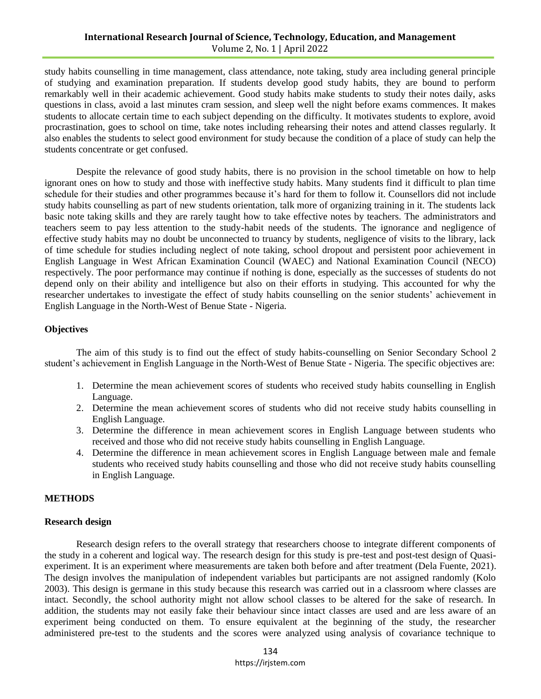study habits counselling in time management, class attendance, note taking, study area including general principle of studying and examination preparation. If students develop good study habits, they are bound to perform remarkably well in their academic achievement. Good study habits make students to study their notes daily, asks questions in class, avoid a last minutes cram session, and sleep well the night before exams commences. It makes students to allocate certain time to each subject depending on the difficulty. It motivates students to explore, avoid procrastination, goes to school on time, take notes including rehearsing their notes and attend classes regularly. It also enables the students to select good environment for study because the condition of a place of study can help the students concentrate or get confused.

Despite the relevance of good study habits, there is no provision in the school timetable on how to help ignorant ones on how to study and those with ineffective study habits. Many students find it difficult to plan time schedule for their studies and other programmes because it's hard for them to follow it. Counsellors did not include study habits counselling as part of new students orientation, talk more of organizing training in it. The students lack basic note taking skills and they are rarely taught how to take effective notes by teachers. The administrators and teachers seem to pay less attention to the study-habit needs of the students. The ignorance and negligence of effective study habits may no doubt be unconnected to truancy by students, negligence of visits to the library, lack of time schedule for studies including neglect of note taking, school dropout and persistent poor achievement in English Language in West African Examination Council (WAEC) and National Examination Council (NECO) respectively. The poor performance may continue if nothing is done, especially as the successes of students do not depend only on their ability and intelligence but also on their efforts in studying. This accounted for why the researcher undertakes to investigate the effect of study habits counselling on the senior students' achievement in English Language in the North-West of Benue State - Nigeria.

## **Objectives**

The aim of this study is to find out the effect of study habits-counselling on Senior Secondary School 2 student's achievement in English Language in the North-West of Benue State - Nigeria. The specific objectives are:

- 1. Determine the mean achievement scores of students who received study habits counselling in English Language.
- 2. Determine the mean achievement scores of students who did not receive study habits counselling in English Language.
- 3. Determine the difference in mean achievement scores in English Language between students who received and those who did not receive study habits counselling in English Language.
- 4. Determine the difference in mean achievement scores in English Language between male and female students who received study habits counselling and those who did not receive study habits counselling in English Language.

## **METHODS**

### **Research design**

Research design refers to the overall strategy that researchers choose to integrate different components of the study in a coherent and logical way. The research design for this study is pre-test and post-test design of Quasiexperiment. It is an experiment where measurements are taken both before and after treatment (Dela Fuente, 2021). The design involves the manipulation of independent variables but participants are not assigned randomly (Kolo 2003). This design is germane in this study because this research was carried out in a classroom where classes are intact. Secondly, the school authority might not allow school classes to be altered for the sake of research. In addition, the students may not easily fake their behaviour since intact classes are used and are less aware of an experiment being conducted on them. To ensure equivalent at the beginning of the study, the researcher administered pre-test to the students and the scores were analyzed using analysis of covariance technique to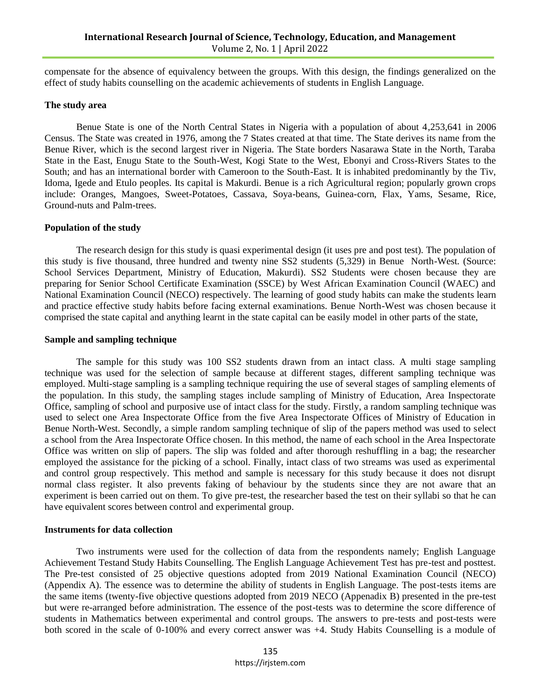compensate for the absence of equivalency between the groups. With this design, the findings generalized on the effect of study habits counselling on the academic achievements of students in English Language.

#### **The study area**

Benue State is one of the North Central States in Nigeria with a population of about 4,253,641 in 2006 Census. The State was created in 1976, among the 7 States created at that time. The State derives its name from the Benue River, which is the second largest river in Nigeria. The State borders Nasarawa State in the North, Taraba State in the East, Enugu State to the South-West, Kogi State to the West, Ebonyi and Cross-Rivers States to the South; and has an international border with Cameroon to the South-East. It is inhabited predominantly by the Tiv, Idoma, Igede and Etulo peoples. Its capital is Makurdi. Benue is a rich Agricultural region; popularly grown crops include: Oranges, Mangoes, Sweet-Potatoes, Cassava, Soya-beans, Guinea-corn, Flax, Yams, Sesame, Rice, Ground-nuts and Palm-trees.

#### **Population of the study**

The research design for this study is quasi experimental design (it uses pre and post test). The population of this study is five thousand, three hundred and twenty nine SS2 students (5,329) in Benue North-West. (Source: School Services Department, Ministry of Education, Makurdi). SS2 Students were chosen because they are preparing for Senior School Certificate Examination (SSCE) by West African Examination Council (WAEC) and National Examination Council (NECO) respectively. The learning of good study habits can make the students learn and practice effective study habits before facing external examinations. Benue North-West was chosen because it comprised the state capital and anything learnt in the state capital can be easily model in other parts of the state,

#### **Sample and sampling technique**

The sample for this study was 100 SS2 students drawn from an intact class. A multi stage sampling technique was used for the selection of sample because at different stages, different sampling technique was employed. Multi-stage sampling is a sampling technique requiring the use of several stages of sampling elements of the population. In this study, the sampling stages include sampling of Ministry of Education, Area Inspectorate Office, sampling of school and purposive use of intact class for the study. Firstly, a random sampling technique was used to select one Area Inspectorate Office from the five Area Inspectorate Offices of Ministry of Education in Benue North-West. Secondly, a simple random sampling technique of slip of the papers method was used to select a school from the Area Inspectorate Office chosen. In this method, the name of each school in the Area Inspectorate Office was written on slip of papers. The slip was folded and after thorough reshuffling in a bag; the researcher employed the assistance for the picking of a school. Finally, intact class of two streams was used as experimental and control group respectively. This method and sample is necessary for this study because it does not disrupt normal class register. It also prevents faking of behaviour by the students since they are not aware that an experiment is been carried out on them. To give pre-test, the researcher based the test on their syllabi so that he can have equivalent scores between control and experimental group.

#### **Instruments for data collection**

Two instruments were used for the collection of data from the respondents namely; English Language Achievement Testand Study Habits Counselling. The English Language Achievement Test has pre-test and posttest. The Pre-test consisted of 25 objective questions adopted from 2019 National Examination Council (NECO) (Appendix A). The essence was to determine the ability of students in English Language. The post-tests items are the same items (twenty-five objective questions adopted from 2019 NECO (Appenadix B) presented in the pre-test but were re-arranged before administration. The essence of the post-tests was to determine the score difference of students in Mathematics between experimental and control groups. The answers to pre-tests and post-tests were both scored in the scale of 0-100% and every correct answer was +4. Study Habits Counselling is a module of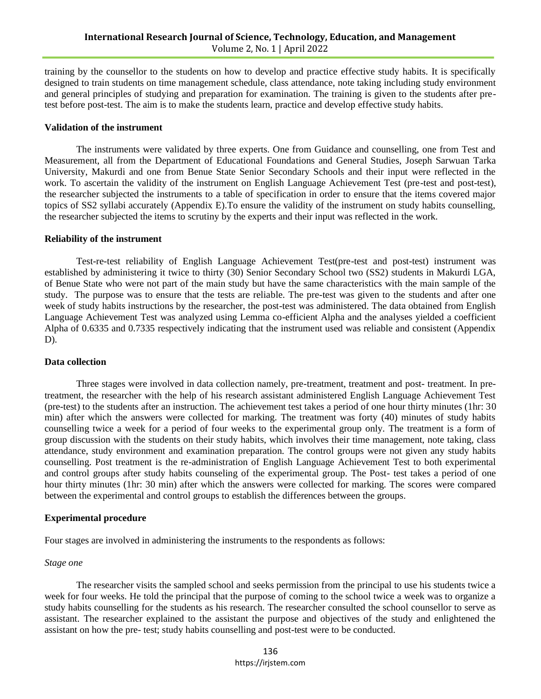training by the counsellor to the students on how to develop and practice effective study habits. It is specifically designed to train students on time management schedule, class attendance, note taking including study environment and general principles of studying and preparation for examination. The training is given to the students after pretest before post-test. The aim is to make the students learn, practice and develop effective study habits.

#### **Validation of the instrument**

The instruments were validated by three experts. One from Guidance and counselling, one from Test and Measurement, all from the Department of Educational Foundations and General Studies, Joseph Sarwuan Tarka University, Makurdi and one from Benue State Senior Secondary Schools and their input were reflected in the work. To ascertain the validity of the instrument on English Language Achievement Test (pre-test and post-test), the researcher subjected the instruments to a table of specification in order to ensure that the items covered major topics of SS2 syllabi accurately (Appendix E).To ensure the validity of the instrument on study habits counselling, the researcher subjected the items to scrutiny by the experts and their input was reflected in the work.

#### **Reliability of the instrument**

Test-re-test reliability of English Language Achievement Test(pre-test and post-test) instrument was established by administering it twice to thirty (30) Senior Secondary School two (SS2) students in Makurdi LGA, of Benue State who were not part of the main study but have the same characteristics with the main sample of the study. The purpose was to ensure that the tests are reliable. The pre-test was given to the students and after one week of study habits instructions by the researcher, the post-test was administered. The data obtained from English Language Achievement Test was analyzed using Lemma co-efficient Alpha and the analyses yielded a coefficient Alpha of 0.6335 and 0.7335 respectively indicating that the instrument used was reliable and consistent (Appendix  $D$ ).

### **Data collection**

Three stages were involved in data collection namely, pre-treatment, treatment and post- treatment. In pretreatment, the researcher with the help of his research assistant administered English Language Achievement Test (pre-test) to the students after an instruction. The achievement test takes a period of one hour thirty minutes (1hr: 30 min) after which the answers were collected for marking. The treatment was forty (40) minutes of study habits counselling twice a week for a period of four weeks to the experimental group only. The treatment is a form of group discussion with the students on their study habits, which involves their time management, note taking, class attendance, study environment and examination preparation. The control groups were not given any study habits counselling. Post treatment is the re-administration of English Language Achievement Test to both experimental and control groups after study habits counseling of the experimental group. The Post- test takes a period of one hour thirty minutes (1hr: 30 min) after which the answers were collected for marking. The scores were compared between the experimental and control groups to establish the differences between the groups.

#### **Experimental procedure**

Four stages are involved in administering the instruments to the respondents as follows:

#### *Stage one*

The researcher visits the sampled school and seeks permission from the principal to use his students twice a week for four weeks. He told the principal that the purpose of coming to the school twice a week was to organize a study habits counselling for the students as his research. The researcher consulted the school counsellor to serve as assistant. The researcher explained to the assistant the purpose and objectives of the study and enlightened the assistant on how the pre- test; study habits counselling and post-test were to be conducted.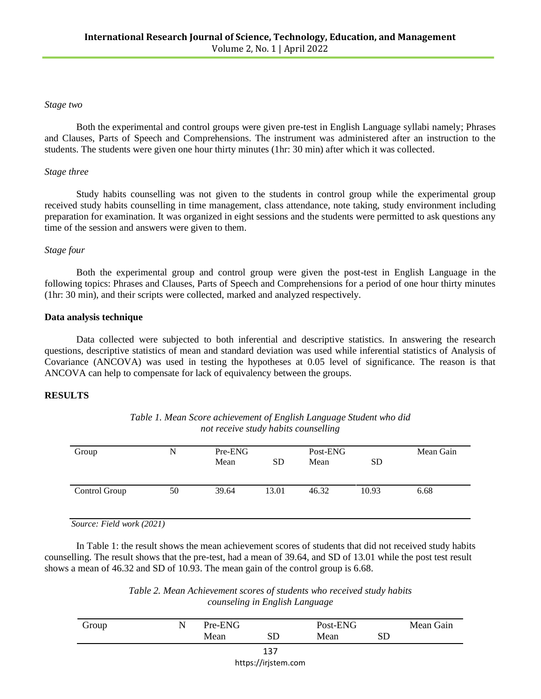#### *Stage two*

Both the experimental and control groups were given pre-test in English Language syllabi namely; Phrases and Clauses, Parts of Speech and Comprehensions. The instrument was administered after an instruction to the students. The students were given one hour thirty minutes (1hr: 30 min) after which it was collected.

### *Stage three*

Study habits counselling was not given to the students in control group while the experimental group received study habits counselling in time management, class attendance, note taking, study environment including preparation for examination. It was organized in eight sessions and the students were permitted to ask questions any time of the session and answers were given to them.

## *Stage four*

Both the experimental group and control group were given the post-test in English Language in the following topics: Phrases and Clauses, Parts of Speech and Comprehensions for a period of one hour thirty minutes (1hr: 30 min), and their scripts were collected, marked and analyzed respectively.

## **Data analysis technique**

Data collected were subjected to both inferential and descriptive statistics. In answering the research questions, descriptive statistics of mean and standard deviation was used while inferential statistics of Analysis of Covariance (ANCOVA) was used in testing the hypotheses at 0.05 level of significance. The reason is that ANCOVA can help to compensate for lack of equivalency between the groups.

## **RESULTS**

| Group         | N  | Pre-ENG<br>Mean | <b>SD</b> | Post-ENG<br>Mean | SD.   | Mean Gain |
|---------------|----|-----------------|-----------|------------------|-------|-----------|
| Control Group | 50 | 39.64           | 13.01     | 46.32            | 10.93 | 6.68      |

| Table 1. Mean Score achievement of English Language Student who did |
|---------------------------------------------------------------------|
| not receive study habits counselling                                |

 *Source: Field work (2021)*

In Table 1: the result shows the mean achievement scores of students that did not received study habits counselling. The result shows that the pre-test, had a mean of 39.64, and SD of 13.01 while the post test result shows a mean of 46.32 and SD of 10.93. The mean gain of the control group is 6.68.

> *Table 2. Mean Achievement scores of students who received study habits counseling in English Language*

| Group | N | Pre-ENG |                     | Post-ENG |    | Mean Gain |
|-------|---|---------|---------------------|----------|----|-----------|
|       |   | Mean    | SD                  | Mean     | SD |           |
|       |   |         | 137                 |          |    |           |
|       |   |         | https://irjstem.com |          |    |           |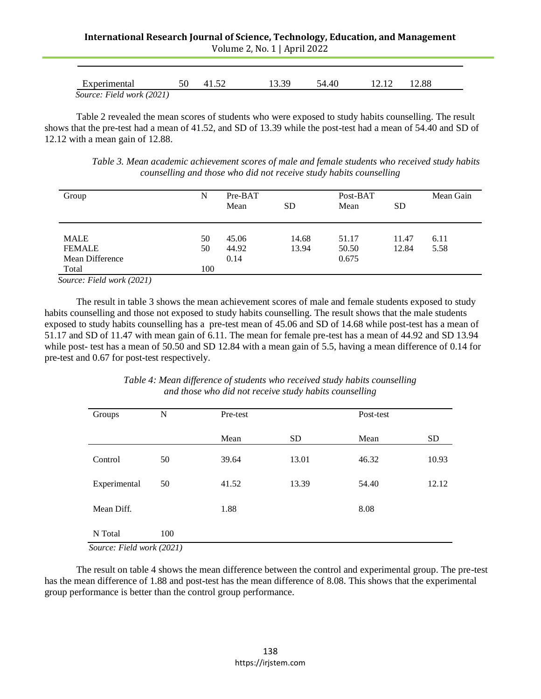| Experimental              | 50 | 41.52 | 13.39 | 54.40 | 12.12 | 12.88 |  |
|---------------------------|----|-------|-------|-------|-------|-------|--|
| Source: Field work (2021) |    |       |       |       |       |       |  |

Table 2 revealed the mean scores of students who were exposed to study habits counselling. The result shows that the pre-test had a mean of 41.52, and SD of 13.39 while the post-test had a mean of 54.40 and SD of 12.12 with a mean gain of 12.88.

*Table 3. Mean academic achievement scores of male and female students who received study habits counselling and those who did not receive study habits counselling*

| Group                                   | N   | Pre-BAT<br>Mean | <b>SD</b> |       | Post-BAT<br>Mean<br><b>SD</b> |      |
|-----------------------------------------|-----|-----------------|-----------|-------|-------------------------------|------|
| <b>MALE</b>                             | 50  | 45.06           | 14.68     | 51.17 | 11.47                         | 6.11 |
| <b>FEMALE</b>                           | 50  | 44.92           | 13.94     | 50.50 | 12.84                         | 5.58 |
| Mean Difference                         |     | 0.14            |           | 0.675 |                               |      |
| Total<br>$C = \Gamma \cdot 11 = 1/2021$ | 100 |                 |           |       |                               |      |

 *Source: Field work (2021)*

The result in table 3 shows the mean achievement scores of male and female students exposed to study habits counselling and those not exposed to study habits counselling. The result shows that the male students exposed to study habits counselling has a pre-test mean of 45.06 and SD of 14.68 while post-test has a mean of 51.17 and SD of 11.47 with mean gain of 6.11. The mean for female pre-test has a mean of 44.92 and SD 13.94 while post- test has a mean of 50.50 and SD 12.84 with a mean gain of 5.5, having a mean difference of 0.14 for pre-test and 0.67 for post-test respectively.

| Groups                               | N   | Pre-test |           | Post-test |           |
|--------------------------------------|-----|----------|-----------|-----------|-----------|
|                                      |     | Mean     | <b>SD</b> | Mean      | <b>SD</b> |
| Control                              | 50  | 39.64    | 13.01     | 46.32     | 10.93     |
| Experimental                         | 50  | 41.52    | 13.39     | 54.40     | 12.12     |
| Mean Diff.                           |     | 1.88     |           | 8.08      |           |
| N Total<br>Sourea: Field work (2021) | 100 |          |           |           |           |

*Table 4: Mean difference of students who received study habits counselling and those who did not receive study habits counselling*

 *Source: Field work (2021)*

The result on table 4 shows the mean difference between the control and experimental group. The pre-test has the mean difference of 1.88 and post-test has the mean difference of 8.08. This shows that the experimental group performance is better than the control group performance.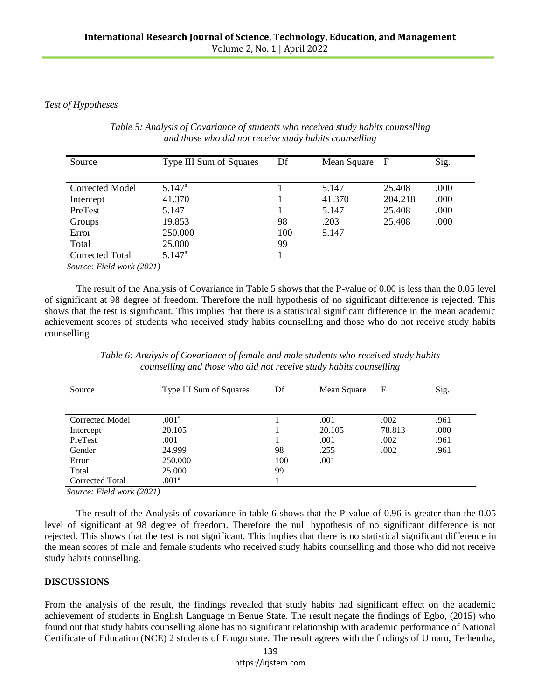## *Test of Hypotheses*

| Source          | <b>Type III Sum of Squares</b> | Df  | Mean Square F |         | Sig. |
|-----------------|--------------------------------|-----|---------------|---------|------|
| Corrected Model | $5.147^{\rm a}$                |     | 5.147         | 25.408  | .000 |
| Intercept       | 41.370                         |     | 41.370        | 204.218 | .000 |
| PreTest         | 5.147                          |     | 5.147         | 25.408  | .000 |
| Groups          | 19.853                         | 98  | .203          | 25.408  | .000 |
| Error           | 250.000                        | 100 | 5.147         |         |      |
| Total           | 25.000                         | 99  |               |         |      |
| Corrected Total | $5.147^{\rm a}$                |     |               |         |      |

*Table 5: Analysis of Covariance of students who received study habits counselling and those who did not receive study habits counselling*

 *Source: Field work (2021)*

The result of the Analysis of Covariance in Table 5 shows that the P-value of 0.00 is less than the 0.05 level of significant at 98 degree of freedom. Therefore the null hypothesis of no significant difference is rejected. This shows that the test is significant. This implies that there is a statistical significant difference in the mean academic achievement scores of students who received study habits counselling and those who do not receive study habits counselling.

| Source                 | Type III Sum of Squares | Df  | Mean Square | F      | Sig. |
|------------------------|-------------------------|-----|-------------|--------|------|
|                        |                         |     |             |        |      |
| <b>Corrected Model</b> | .001 <sup>a</sup>       |     | .001        | .002   | .961 |
| Intercept              | 20.105                  |     | 20.105      | 78.813 | .000 |
| PreTest                | .001                    |     | .001        | .002   | .961 |
| Gender                 | 24.999                  | 98  | .255        | .002   | .961 |
| Error                  | 250,000                 | 100 | .001        |        |      |
| Total                  | 25,000                  | 99  |             |        |      |
| Corrected Total        | .001 <sup>a</sup>       |     |             |        |      |

*Table 6: Analysis of Covariance of female and male students who received study habits counselling and those who did not receive study habits counselling*

 *Source: Field work (2021)*

The result of the Analysis of covariance in table 6 shows that the P-value of 0.96 is greater than the 0.05 level of significant at 98 degree of freedom. Therefore the null hypothesis of no significant difference is not rejected. This shows that the test is not significant. This implies that there is no statistical significant difference in the mean scores of male and female students who received study habits counselling and those who did not receive study habits counselling.

## **DISCUSSIONS**

From the analysis of the result, the findings revealed that study habits had significant effect on the academic achievement of students in English Language in Benue State. The result negate the findings of Egbo, (2015) who found out that study habits counselling alone has no significant relationship with academic performance of National Certificate of Education (NCE) 2 students of Enugu state. The result agrees with the findings of Umaru, Terhemba,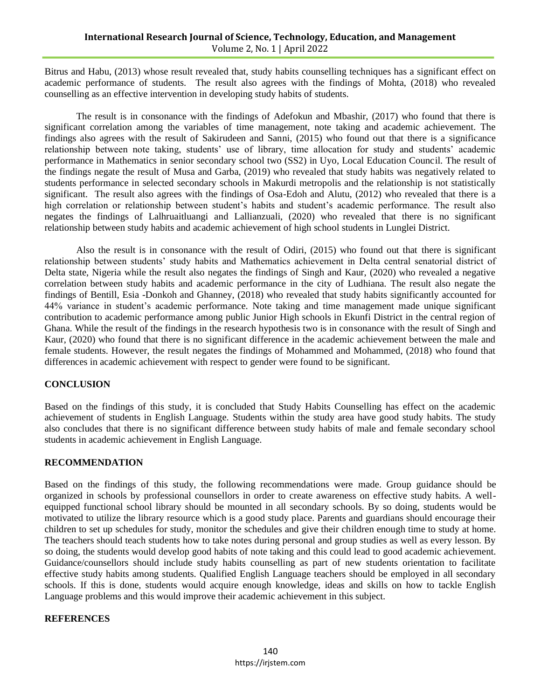Bitrus and Habu, (2013) whose result revealed that, study habits counselling techniques has a significant effect on academic performance of students. The result also agrees with the findings of Mohta, (2018) who revealed counselling as an effective intervention in developing study habits of students.

The result is in consonance with the findings of Adefokun and Mbashir, (2017) who found that there is significant correlation among the variables of time management, note taking and academic achievement. The findings also agrees with the result of Sakirudeen and Sanni, (2015) who found out that there is a significance relationship between note taking, students' use of library, time allocation for study and students' academic performance in Mathematics in senior secondary school two (SS2) in Uyo, Local Education Council. The result of the findings negate the result of Musa and Garba, (2019) who revealed that study habits was negatively related to students performance in selected secondary schools in Makurdi metropolis and the relationship is not statistically significant. The result also agrees with the findings of Osa-Edoh and Alutu, (2012) who revealed that there is a high correlation or relationship between student's habits and student's academic performance. The result also negates the findings of Lalhruaitluangi and Lallianzuali, (2020) who revealed that there is no significant relationship between study habits and academic achievement of high school students in Lunglei District.

Also the result is in consonance with the result of Odiri, (2015) who found out that there is significant relationship between students' study habits and Mathematics achievement in Delta central senatorial district of Delta state, Nigeria while the result also negates the findings of Singh and Kaur, (2020) who revealed a negative correlation between study habits and academic performance in the city of Ludhiana. The result also negate the findings of Bentill, Esia -Donkoh and Ghanney, (2018) who revealed that study habits significantly accounted for 44% variance in student's academic performance. Note taking and time management made unique significant contribution to academic performance among public Junior High schools in Ekunfi District in the central region of Ghana. While the result of the findings in the research hypothesis two is in consonance with the result of Singh and Kaur, (2020) who found that there is no significant difference in the academic achievement between the male and female students. However, the result negates the findings of Mohammed and Mohammed, (2018) who found that differences in academic achievement with respect to gender were found to be significant.

## **CONCLUSION**

Based on the findings of this study, it is concluded that Study Habits Counselling has effect on the academic achievement of students in English Language. Students within the study area have good study habits. The study also concludes that there is no significant difference between study habits of male and female secondary school students in academic achievement in English Language.

### **RECOMMENDATION**

Based on the findings of this study, the following recommendations were made. Group guidance should be organized in schools by professional counsellors in order to create awareness on effective study habits. A wellequipped functional school library should be mounted in all secondary schools. By so doing, students would be motivated to utilize the library resource which is a good study place. Parents and guardians should encourage their children to set up schedules for study, monitor the schedules and give their children enough time to study at home. The teachers should teach students how to take notes during personal and group studies as well as every lesson. By so doing, the students would develop good habits of note taking and this could lead to good academic achievement. Guidance/counsellors should include study habits counselling as part of new students orientation to facilitate effective study habits among students. Qualified English Language teachers should be employed in all secondary schools. If this is done, students would acquire enough knowledge, ideas and skills on how to tackle English Language problems and this would improve their academic achievement in this subject.

## **REFERENCES**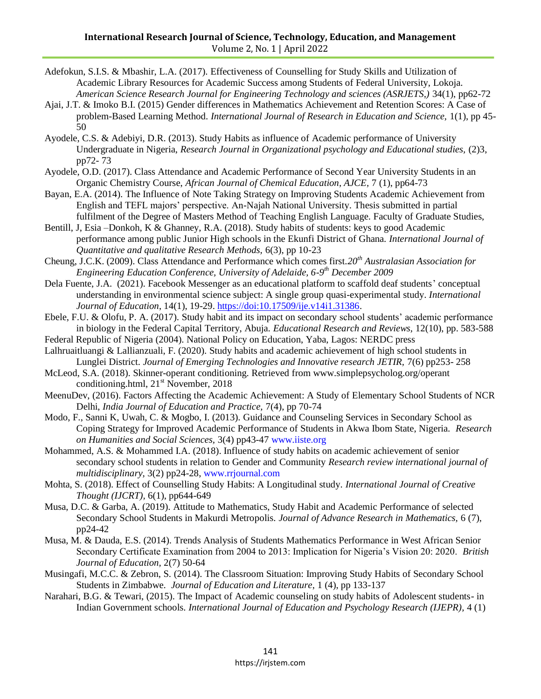- Adefokun, S.I.S. & Mbashir, L.A. (2017). Effectiveness of Counselling for Study Skills and Utilization of Academic Library Resources for Academic Success among Students of Federal University, Lokoja. *American Science Research Journal for Engineering Technology and sciences (ASRJETS,)* 34(1), pp62-72
- Ajai, J.T. & Imoko B.I. (2015) Gender differences in Mathematics Achievement and Retention Scores: A Case of problem-Based Learning Method. *International Journal of Research in Education and Science,* 1(1), pp 45- 50
- Ayodele, C.S. & Adebiyi, D.R. (2013). Study Habits as influence of Academic performance of University Undergraduate in Nigeria, *Research Journal in Organizational psychology and Educational studies,* (2)3, pp72- 73
- Ayodele, O.D. (2017). Class Attendance and Academic Performance of Second Year University Students in an Organic Chemistry Course, *African Journal of Chemical Education, AJCE,* 7 (1), pp64-73
- Bayan, E.A. (2014). The Influence of Note Taking Strategy on Improving Students Academic Achievement from English and TEFL majors' perspective. An-Najah National University. Thesis submitted in partial fulfilment of the Degree of Masters Method of Teaching English Language. Faculty of Graduate Studies,
- Bentill, J, Esia –Donkoh, K & Ghanney, R.A. (2018). Study habits of students: keys to good Academic performance among public Junior High schools in the Ekunfi District of Ghana. *International Journal of Quantitative and qualitative Research Methods,* 6(3), pp 10-23
- Cheung, J.C.K. (2009). Class Attendance and Performance which comes first.*20th Australasian Association for Engineering Education Conference, University of Adelaide, 6-9 th December 2009*
- Dela Fuente, J.A. (2021). Facebook Messenger as an educational platform to scaffold deaf students' conceptual understanding in environmental science subject: A single group quasi-experimental study. *International Journal of Education*, 14(1), 19-29. [https://doi:10.17509/ije.v14i1.31386.](https://doi:10.17509/ije.v14i1.31386)
- Ebele, F.U. & Olofu, P. A. (2017). Study habit and its impact on secondary school students' academic performance in biology in the Federal Capital Territory, Abuja. *Educational Research and Reviews,* 12(10), pp. 583-588
- Federal Republic of Nigeria (2004). National Policy on Education, Yaba, Lagos: NERDC press
- Lalhruaitluangi & Lallianzuali, F. (2020). Study habits and academic achievement of high school students in Lunglei District. *Journal of Emerging Technologies and Innovative research JETIR*, 7(6) pp253-258
- McLeod, S.A. (2018). Skinner-operant conditioning. Retrieved from www.simplepsycholog.org/operant conditioning.html,  $21<sup>st</sup>$  November, 2018
- MeenuDev, (2016). Factors Affecting the Academic Achievement: A Study of Elementary School Students of NCR Delhi, *India Journal of Education and Practice,* 7(4), pp 70-74
- Modo, F., Sanni K, Uwah, C. & Mogbo, I. (2013). Guidance and Counseling Services in Secondary School as Coping Strategy for Improved Academic Performance of Students in Akwa Ibom State, Nigeria. *Research on Humanities and Social Sciences,* 3(4) pp43-47 [www.iiste.org](http://www.iiste.org/)
- Mohammed, A.S. & Mohammed I.A. (2018). Influence of study habits on academic achievement of senior secondary school students in relation to Gender and Community *Research review international journal of multidisciplinary,* 3(2) pp24-28, [www.rrjournal.com](http://www.rrjournal.com/)
- Mohta, S. (2018). Effect of Counselling Study Habits: A Longitudinal study. *International Journal of Creative Thought (IJCRT),* 6(1), pp644-649
- Musa, D.C. & Garba, A. (2019). Attitude to Mathematics, Study Habit and Academic Performance of selected Secondary School Students in Makurdi Metropolis. *Journal of Advance Research in Mathematics,* 6 (7), pp24-42
- Musa, M. & Dauda, E.S. (2014). Trends Analysis of Students Mathematics Performance in West African Senior Secondary Certificate Examination from 2004 to 2013: Implication for Nigeria's Vision 20: 2020. *British Journal of Education,* 2(7) 50-64
- Musingafi, M.C.C. & Zebron, S. (2014). The Classroom Situation: Improving Study Habits of Secondary School Students in Zimbabwe. *Journal of Education and Literature*, 1 (4), pp 133-137
- Narahari, B.G. & Tewari, (2015). The Impact of Academic counseling on study habits of Adolescent students- in Indian Government schools. *International Journal of Education and Psychology Research (IJEPR),* 4 (1)